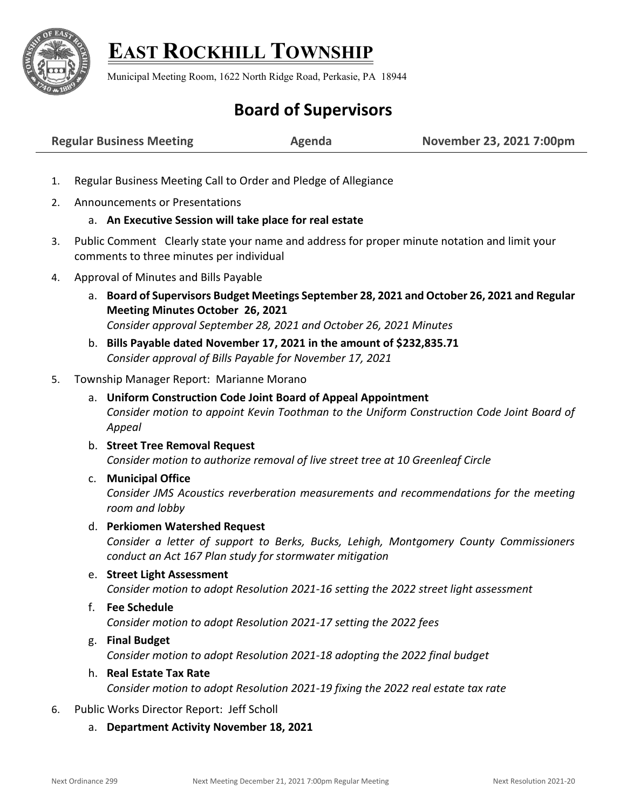

# **EAST ROCKHILL TOWNSHIP**

Municipal Meeting Room, 1622 North Ridge Road, Perkasie, PA 18944

# **Board of Supervisors**

| November 23, 2021 7:00pm<br><b>Regular Business Meeting</b><br>Agenda |
|-----------------------------------------------------------------------|
|-----------------------------------------------------------------------|

- 1. Regular Business Meeting Call to Order and Pledge of Allegiance
- 2. Announcements or Presentations

# a. **An Executive Session will take place for real estate**

- 3. Public Comment Clearly state your name and address for proper minute notation and limit your comments to three minutes per individual
- 4. Approval of Minutes and Bills Payable
	- a. **Board of Supervisors Budget Meetings September 28, 2021 and October 26, 2021 and Regular Meeting Minutes October 26, 2021** *Consider approval September 28, 2021 and October 26, 2021 Minutes*
	- b. **Bills Payable dated November 17, 2021 in the amount of \$232,835.71** *Consider approval of Bills Payable for November 17, 2021*

#### 5. Township Manager Report: Marianne Morano

- a. **Uniform Construction Code Joint Board of Appeal Appointment** *Consider motion to appoint Kevin Toothman to the Uniform Construction Code Joint Board of Appeal*
- b. **Street Tree Removal Request** *Consider motion to authorize removal of live street tree at 10 Greenleaf Circle*

# c. **Municipal Office**

*Consider JMS Acoustics reverberation measurements and recommendations for the meeting room and lobby* 

#### d. **Perkiomen Watershed Request**

*Consider a letter of support to Berks, Bucks, Lehigh, Montgomery County Commissioners conduct an Act 167 Plan study for stormwater mitigation* 

e. **Street Light Assessment**

*Consider motion to adopt Resolution 2021-16 setting the 2022 street light assessment*

### f. **Fee Schedule** *Consider motion to adopt Resolution 2021-17 setting the 2022 fees*

- g. **Final Budget** *Consider motion to adopt Resolution 2021-18 adopting the 2022 final budget*
- h. **Real Estate Tax Rate** *Consider motion to adopt Resolution 2021-19 fixing the 2022 real estate tax rate*
- 6. Public Works Director Report: Jeff Scholl
	- a. **Department Activity November 18, 2021**